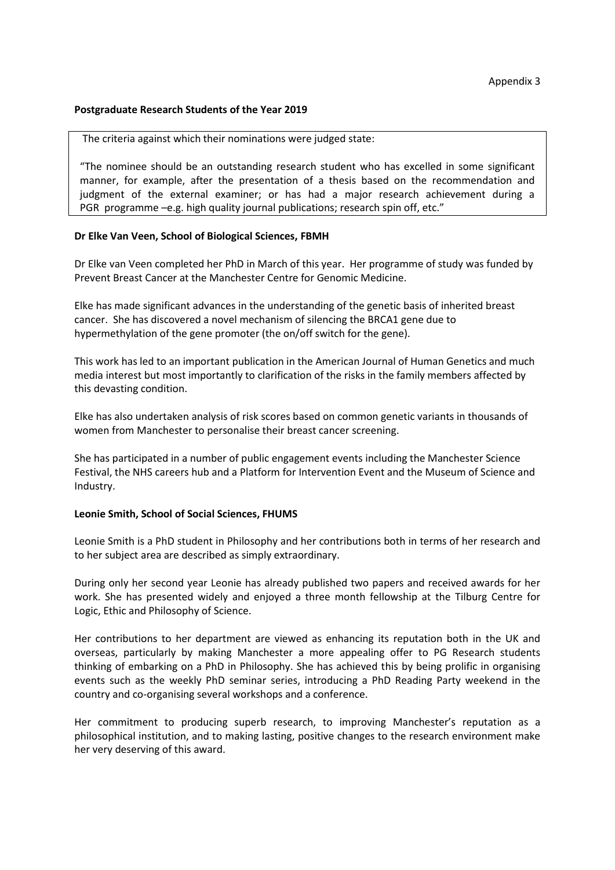## **Postgraduate Research Students of the Year 2019**

The criteria against which their nominations were judged state:

"The nominee should be an outstanding research student who has excelled in some significant manner, for example, after the presentation of a thesis based on the recommendation and judgment of the external examiner; or has had a major research achievement during a PGR programme –e.g. high quality journal publications; research spin off, etc."

## **Dr Elke Van Veen, School of Biological Sciences, FBMH**

Dr Elke van Veen completed her PhD in March of this year. Her programme of study was funded by Prevent Breast Cancer at the Manchester Centre for Genomic Medicine.

Elke has made significant advances in the understanding of the genetic basis of inherited breast cancer. She has discovered a novel mechanism of silencing the BRCA1 gene due to hypermethylation of the gene promoter (the on/off switch for the gene).

This work has led to an important publication in the American Journal of Human Genetics and much media interest but most importantly to clarification of the risks in the family members affected by this devasting condition.

Elke has also undertaken analysis of risk scores based on common genetic variants in thousands of women from Manchester to personalise their breast cancer screening.

She has participated in a number of public engagement events including the Manchester Science Festival, the NHS careers hub and a Platform for Intervention Event and the Museum of Science and Industry.

## **Leonie Smith, School of Social Sciences, FHUMS**

Leonie Smith is a PhD student in Philosophy and her contributions both in terms of her research and to her subject area are described as simply extraordinary.

During only her second year Leonie has already published two papers and received awards for her work. She has presented widely and enjoyed a three month fellowship at the Tilburg Centre for Logic, Ethic and Philosophy of Science.

Her contributions to her department are viewed as enhancing its reputation both in the UK and overseas, particularly by making Manchester a more appealing offer to PG Research students thinking of embarking on a PhD in Philosophy. She has achieved this by being prolific in organising events such as the weekly PhD seminar series, introducing a PhD Reading Party weekend in the country and co-organising several workshops and a conference.

Her commitment to producing superb research, to improving Manchester's reputation as a philosophical institution, and to making lasting, positive changes to the research environment make her very deserving of this award.